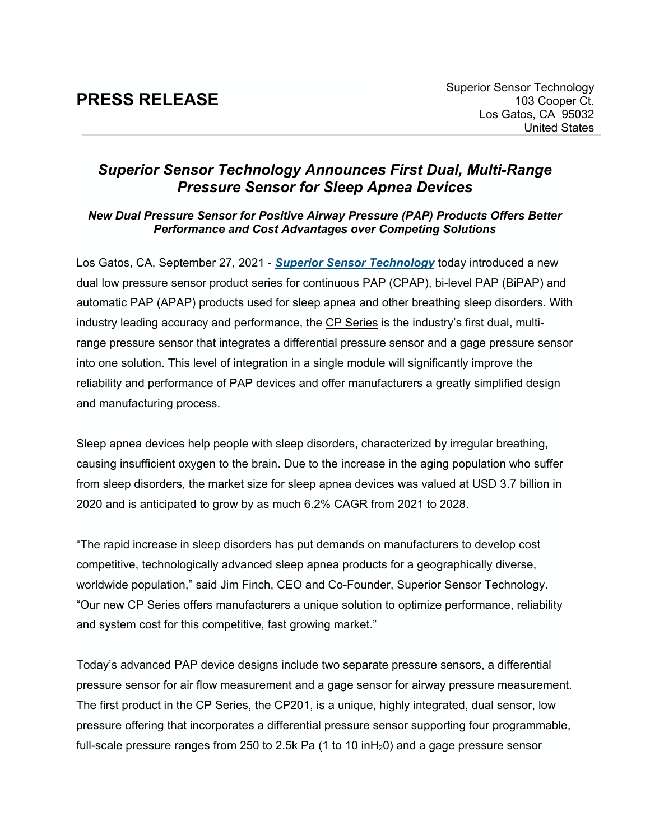## **PRESS RELEASE**

## *Superior Sensor Technology Announces First Dual, Multi-Range Pressure Sensor for Sleep Apnea Devices*

## *New Dual Pressure Sensor for Positive Airway Pressure (PAP) Products Offers Better Performance and Cost Advantages over Competing Solutions*

Los Gatos, CA, September 27, 2021 - *Superior Sensor [Technology](https://www.superiorsensors.com/)* today introduced a new dual low pressure sensor product series for continuous PAP (CPAP), bi-level PAP (BiPAP) and automatic PAP (APAP) products used for sleep apnea and other breathing sleep disorders. With industry leading accuracy and performance, the [CP Series](https://superiorsensors.com/pressure-sensors/cpap-and-bipap/) is the industry's first dual, multirange pressure sensor that integrates a differential pressure sensor and a gage pressure sensor into one solution. This level of integration in a single module will significantly improve the reliability and performance of PAP devices and offer manufacturers a greatly simplified design and manufacturing process.

Sleep apnea devices help people with sleep disorders, characterized by irregular breathing, causing insufficient oxygen to the brain. Due to the increase in the aging population who suffer from sleep disorders, the market size for sleep apnea devices was valued at USD 3.7 billion in 2020 and is anticipated to grow by as much 6.2% CAGR from 2021 to 2028.

"The rapid increase in sleep disorders has put demands on manufacturers to develop cost competitive, technologically advanced sleep apnea products for a geographically diverse, worldwide population," said Jim Finch, CEO and Co-Founder, Superior Sensor Technology. "Our new CP Series offers manufacturers a unique solution to optimize performance, reliability and system cost for this competitive, fast growing market."

Today's advanced PAP device designs include two separate pressure sensors, a differential pressure sensor for air flow measurement and a gage sensor for airway pressure measurement. The first product in the CP Series, the CP201, is a unique, highly integrated, dual sensor, low pressure offering that incorporates a differential pressure sensor supporting four programmable, full-scale pressure ranges from 250 to 2.5k Pa  $(1 \text{ to } 10 \text{ in} H_20)$  and a gage pressure sensor